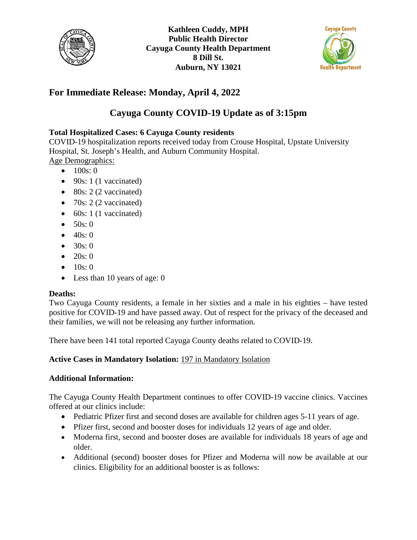



## **For Immediate Release: Monday, April 4, 2022**

# **Cayuga County COVID-19 Update as of 3:15pm**

### **Total Hospitalized Cases: 6 Cayuga County residents**

COVID-19 hospitalization reports received today from Crouse Hospital, Upstate University Hospital, St. Joseph's Health, and Auburn Community Hospital. Age Demographics:

- $100s: 0$
- $\bullet$  90s: 1 (1 vaccinated)
- $\bullet$  80s: 2 (2 vaccinated)
- 70s: 2 (2 vaccinated)
- 60s: 1 (1 vaccinated)
- $50s:0$
- $40s:0$
- $30s:0$
- $20s:0$
- $10s:0$
- Less than 10 years of age: 0

#### **Deaths:**

Two Cayuga County residents, a female in her sixties and a male in his eighties – have tested positive for COVID-19 and have passed away. Out of respect for the privacy of the deceased and their families, we will not be releasing any further information.

There have been 141 total reported Cayuga County deaths related to COVID-19.

#### **Active Cases in Mandatory Isolation:** 197 in Mandatory Isolation

#### **Additional Information:**

The Cayuga County Health Department continues to offer COVID-19 vaccine clinics. Vaccines offered at our clinics include:

- Pediatric Pfizer first and second doses are available for children ages 5-11 years of age.
- Pfizer first, second and booster doses for individuals 12 years of age and older.
- Moderna first, second and booster doses are available for individuals 18 years of age and older.
- Additional (second) booster doses for Pfizer and Moderna will now be available at our clinics. Eligibility for an additional booster is as follows: